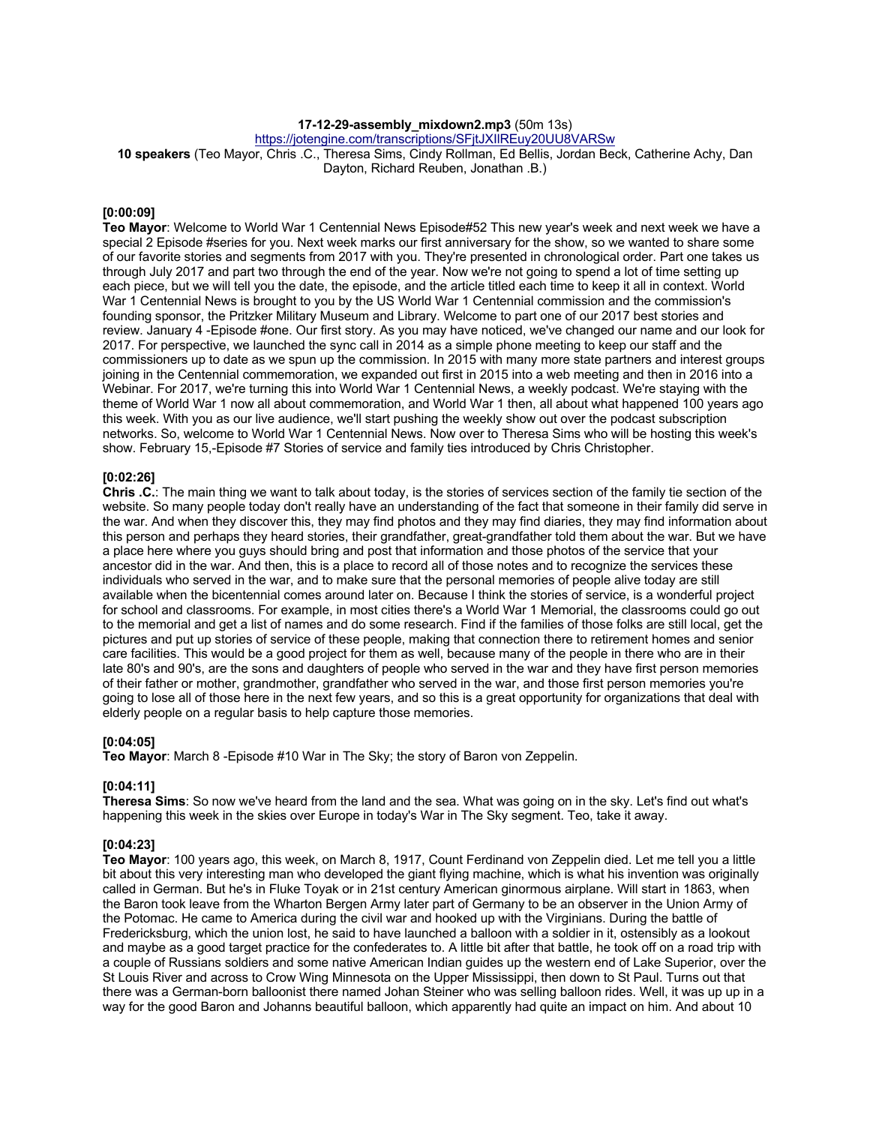# **17-12-29-assembly\_mixdown2.mp3** (50m 13s)

https://jotengine.com/transcriptions/SFitJXIIREuv20UU8VARSw

**10 speakers** (Teo Mayor, Chris .C., Theresa Sims, Cindy Rollman, Ed Bellis, Jordan Beck, Catherine Achy, Dan Dayton, Richard Reuben, Jonathan .B.)

# **[0:00:09]**

**Teo Mayor**: Welcome to World War 1 Centennial News Episode#52 This new year's week and next week we have a special 2 Episode #series for you. Next week marks our first anniversary for the show, so we wanted to share some of our favorite stories and segments from 2017 with you. They're presented in chronological order. Part one takes us through July 2017 and part two through the end of the year. Now we're not going to spend a lot of time setting up each piece, but we will tell you the date, the episode, and the article titled each time to keep it all in context. World War 1 Centennial News is brought to you by the US World War 1 Centennial commission and the commission's founding sponsor, the Pritzker Military Museum and Library. Welcome to part one of our 2017 best stories and review. January 4 -Episode #one. Our first story. As you may have noticed, we've changed our name and our look for 2017. For perspective, we launched the sync call in 2014 as a simple phone meeting to keep our staff and the commissioners up to date as we spun up the commission. In 2015 with many more state partners and interest groups joining in the Centennial commemoration, we expanded out first in 2015 into a web meeting and then in 2016 into a Webinar. For 2017, we're turning this into World War 1 Centennial News, a weekly podcast. We're staying with the theme of World War 1 now all about commemoration, and World War 1 then, all about what happened 100 years ago this week. With you as our live audience, we'll start pushing the weekly show out over the podcast subscription networks. So, welcome to World War 1 Centennial News. Now over to Theresa Sims who will be hosting this week's show. February 15,-Episode #7 Stories of service and family ties introduced by Chris Christopher.

# **[0:02:26]**

**Chris .C.**: The main thing we want to talk about today, is the stories of services section of the family tie section of the website. So many people today don't really have an understanding of the fact that someone in their family did serve in the war. And when they discover this, they may find photos and they may find diaries, they may find information about this person and perhaps they heard stories, their grandfather, great-grandfather told them about the war. But we have a place here where you guys should bring and post that information and those photos of the service that your ancestor did in the war. And then, this is a place to record all of those notes and to recognize the services these individuals who served in the war, and to make sure that the personal memories of people alive today are still available when the bicentennial comes around later on. Because I think the stories of service, is a wonderful project for school and classrooms. For example, in most cities there's a World War 1 Memorial, the classrooms could go out to the memorial and get a list of names and do some research. Find if the families of those folks are still local, get the pictures and put up stories of service of these people, making that connection there to retirement homes and senior care facilities. This would be a good project for them as well, because many of the people in there who are in their late 80's and 90's, are the sons and daughters of people who served in the war and they have first person memories of their father or mother, grandmother, grandfather who served in the war, and those first person memories you're going to lose all of those here in the next few years, and so this is a great opportunity for organizations that deal with elderly people on a regular basis to help capture those memories.

# **[0:04:05]**

**Teo Mayor**: March 8 -Episode #10 War in The Sky; the story of Baron von Zeppelin.

# **[0:04:11]**

**Theresa Sims**: So now we've heard from the land and the sea. What was going on in the sky. Let's find out what's happening this week in the skies over Europe in today's War in The Sky segment. Teo, take it away.

# **[0:04:23]**

**Teo Mayor**: 100 years ago, this week, on March 8, 1917, Count Ferdinand von Zeppelin died. Let me tell you a little bit about this very interesting man who developed the giant flying machine, which is what his invention was originally called in German. But he's in Fluke Toyak or in 21st century American ginormous airplane. Will start in 1863, when the Baron took leave from the Wharton Bergen Army later part of Germany to be an observer in the Union Army of the Potomac. He came to America during the civil war and hooked up with the Virginians. During the battle of Fredericksburg, which the union lost, he said to have launched a balloon with a soldier in it, ostensibly as a lookout and maybe as a good target practice for the confederates to. A little bit after that battle, he took off on a road trip with a couple of Russians soldiers and some native American Indian guides up the western end of Lake Superior, over the St Louis River and across to Crow Wing Minnesota on the Upper Mississippi, then down to St Paul. Turns out that there was a German-born balloonist there named Johan Steiner who was selling balloon rides. Well, it was up up in a way for the good Baron and Johanns beautiful balloon, which apparently had quite an impact on him. And about 10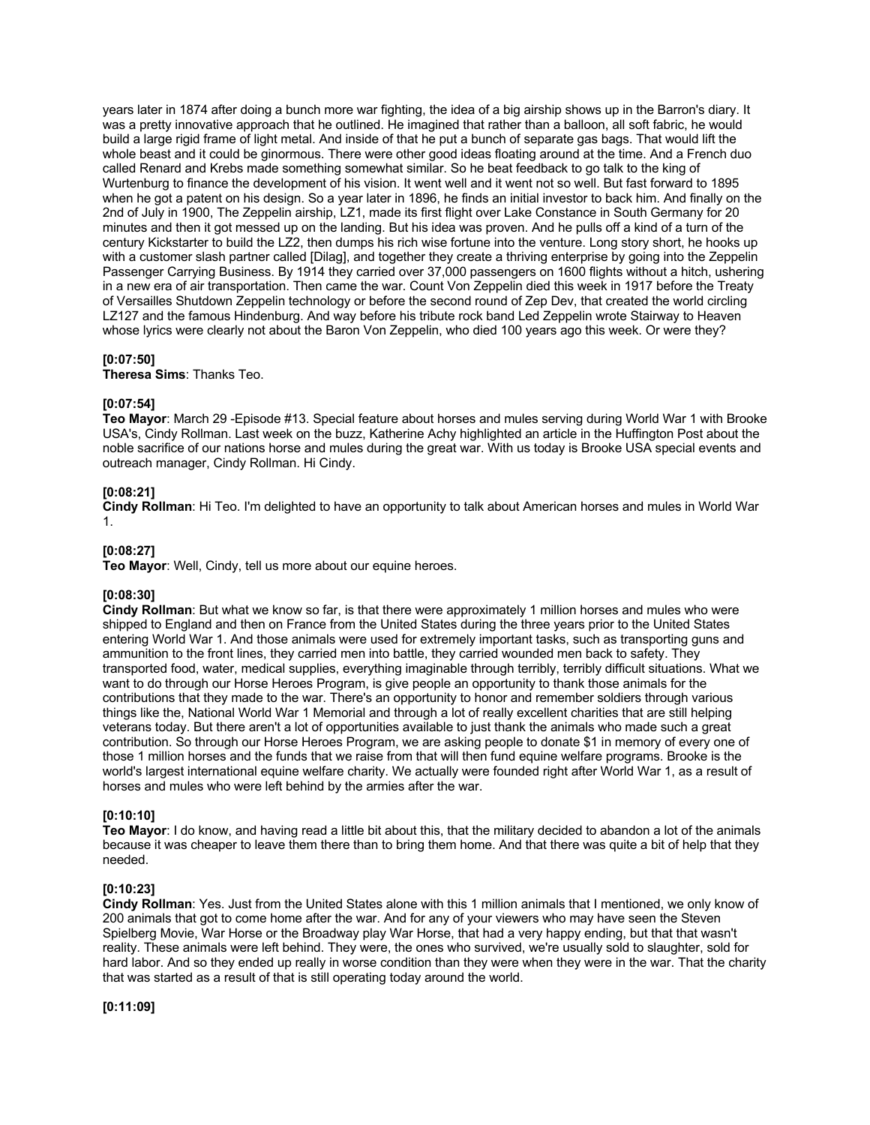years later in 1874 after doing a bunch more war fighting, the idea of a big airship shows up in the Barron's diary. It was a pretty innovative approach that he outlined. He imagined that rather than a balloon, all soft fabric, he would build a large rigid frame of light metal. And inside of that he put a bunch of separate gas bags. That would lift the whole beast and it could be ginormous. There were other good ideas floating around at the time. And a French duo called Renard and Krebs made something somewhat similar. So he beat feedback to go talk to the king of Wurtenburg to finance the development of his vision. It went well and it went not so well. But fast forward to 1895 when he got a patent on his design. So a year later in 1896, he finds an initial investor to back him. And finally on the 2nd of July in 1900, The Zeppelin airship, LZ1, made its first flight over Lake Constance in South Germany for 20 minutes and then it got messed up on the landing. But his idea was proven. And he pulls off a kind of a turn of the century Kickstarter to build the LZ2, then dumps his rich wise fortune into the venture. Long story short, he hooks up with a customer slash partner called [Dilag], and together they create a thriving enterprise by going into the Zeppelin Passenger Carrying Business. By 1914 they carried over 37,000 passengers on 1600 flights without a hitch, ushering in a new era of air transportation. Then came the war. Count Von Zeppelin died this week in 1917 before the Treaty of Versailles Shutdown Zeppelin technology or before the second round of Zep Dev, that created the world circling LZ127 and the famous Hindenburg. And way before his tribute rock band Led Zeppelin wrote Stairway to Heaven whose lyrics were clearly not about the Baron Von Zeppelin, who died 100 years ago this week. Or were they?

# **[0:07:50]**

**Theresa Sims**: Thanks Teo.

# **[0:07:54]**

**Teo Mayor**: March 29 -Episode #13. Special feature about horses and mules serving during World War 1 with Brooke USA's, Cindy Rollman. Last week on the buzz, Katherine Achy highlighted an article in the Huffington Post about the noble sacrifice of our nations horse and mules during the great war. With us today is Brooke USA special events and outreach manager, Cindy Rollman. Hi Cindy.

# **[0:08:21]**

**Cindy Rollman**: Hi Teo. I'm delighted to have an opportunity to talk about American horses and mules in World War 1.

# **[0:08:27]**

**Teo Mayor**: Well, Cindy, tell us more about our equine heroes.

# **[0:08:30]**

**Cindy Rollman**: But what we know so far, is that there were approximately 1 million horses and mules who were shipped to England and then on France from the United States during the three years prior to the United States entering World War 1. And those animals were used for extremely important tasks, such as transporting guns and ammunition to the front lines, they carried men into battle, they carried wounded men back to safety. They transported food, water, medical supplies, everything imaginable through terribly, terribly difficult situations. What we want to do through our Horse Heroes Program, is give people an opportunity to thank those animals for the contributions that they made to the war. There's an opportunity to honor and remember soldiers through various things like the, National World War 1 Memorial and through a lot of really excellent charities that are still helping veterans today. But there aren't a lot of opportunities available to just thank the animals who made such a great contribution. So through our Horse Heroes Program, we are asking people to donate \$1 in memory of every one of those 1 million horses and the funds that we raise from that will then fund equine welfare programs. Brooke is the world's largest international equine welfare charity. We actually were founded right after World War 1, as a result of horses and mules who were left behind by the armies after the war.

# **[0:10:10]**

**Teo Mayor**: I do know, and having read a little bit about this, that the military decided to abandon a lot of the animals because it was cheaper to leave them there than to bring them home. And that there was quite a bit of help that they needed.

# **[0:10:23]**

**Cindy Rollman**: Yes. Just from the United States alone with this 1 million animals that I mentioned, we only know of 200 animals that got to come home after the war. And for any of your viewers who may have seen the Steven Spielberg Movie, War Horse or the Broadway play War Horse, that had a very happy ending, but that that wasn't reality. These animals were left behind. They were, the ones who survived, we're usually sold to slaughter, sold for hard labor. And so they ended up really in worse condition than they were when they were in the war. That the charity that was started as a result of that is still operating today around the world.

**[0:11:09]**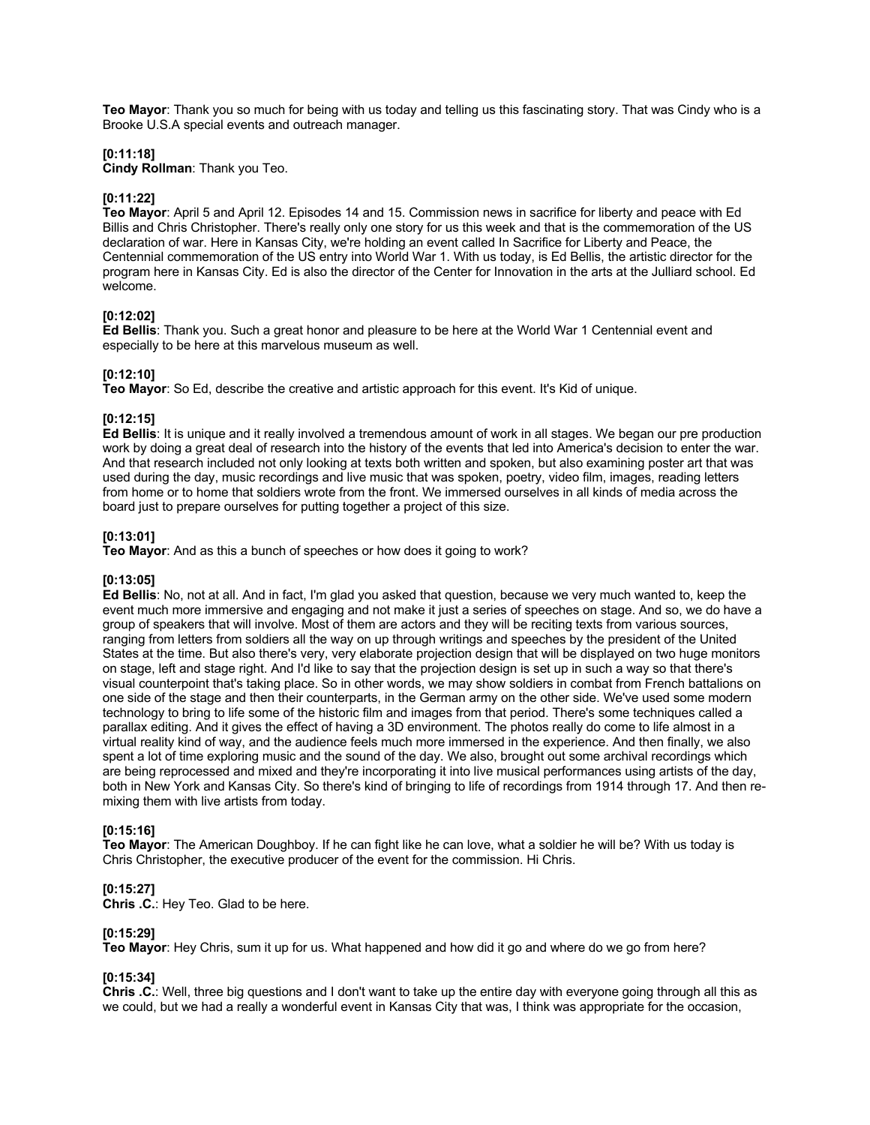**Teo Mayor**: Thank you so much for being with us today and telling us this fascinating story. That was Cindy who is a Brooke U.S.A special events and outreach manager.

### **[0:11:18]**

**Cindy Rollman**: Thank you Teo.

### **[0:11:22]**

**Teo Mayor**: April 5 and April 12. Episodes 14 and 15. Commission news in sacrifice for liberty and peace with Ed Billis and Chris Christopher. There's really only one story for us this week and that is the commemoration of the US declaration of war. Here in Kansas City, we're holding an event called In Sacrifice for Liberty and Peace, the Centennial commemoration of the US entry into World War 1. With us today, is Ed Bellis, the artistic director for the program here in Kansas City. Ed is also the director of the Center for Innovation in the arts at the Julliard school. Ed welcome.

# **[0:12:02]**

**Ed Bellis**: Thank you. Such a great honor and pleasure to be here at the World War 1 Centennial event and especially to be here at this marvelous museum as well.

#### **[0:12:10]**

**Teo Mayor**: So Ed, describe the creative and artistic approach for this event. It's Kid of unique.

### **[0:12:15]**

**Ed Bellis**: It is unique and it really involved a tremendous amount of work in all stages. We began our pre production work by doing a great deal of research into the history of the events that led into America's decision to enter the war. And that research included not only looking at texts both written and spoken, but also examining poster art that was used during the day, music recordings and live music that was spoken, poetry, video film, images, reading letters from home or to home that soldiers wrote from the front. We immersed ourselves in all kinds of media across the board just to prepare ourselves for putting together a project of this size.

#### **[0:13:01]**

**Teo Mayor**: And as this a bunch of speeches or how does it going to work?

#### **[0:13:05]**

**Ed Bellis**: No, not at all. And in fact, I'm glad you asked that question, because we very much wanted to, keep the event much more immersive and engaging and not make it just a series of speeches on stage. And so, we do have a group of speakers that will involve. Most of them are actors and they will be reciting texts from various sources, ranging from letters from soldiers all the way on up through writings and speeches by the president of the United States at the time. But also there's very, very elaborate projection design that will be displayed on two huge monitors on stage, left and stage right. And I'd like to say that the projection design is set up in such a way so that there's visual counterpoint that's taking place. So in other words, we may show soldiers in combat from French battalions on one side of the stage and then their counterparts, in the German army on the other side. We've used some modern technology to bring to life some of the historic film and images from that period. There's some techniques called a parallax editing. And it gives the effect of having a 3D environment. The photos really do come to life almost in a virtual reality kind of way, and the audience feels much more immersed in the experience. And then finally, we also spent a lot of time exploring music and the sound of the day. We also, brought out some archival recordings which are being reprocessed and mixed and they're incorporating it into live musical performances using artists of the day, both in New York and Kansas City. So there's kind of bringing to life of recordings from 1914 through 17. And then remixing them with live artists from today.

# **[0:15:16]**

**Teo Mayor**: The American Doughboy. If he can fight like he can love, what a soldier he will be? With us today is Chris Christopher, the executive producer of the event for the commission. Hi Chris.

#### **[0:15:27]**

**Chris .C.**: Hey Teo. Glad to be here.

#### **[0:15:29]**

**Teo Mayor**: Hey Chris, sum it up for us. What happened and how did it go and where do we go from here?

# **[0:15:34]**

**Chris .C.**: Well, three big questions and I don't want to take up the entire day with everyone going through all this as we could, but we had a really a wonderful event in Kansas City that was, I think was appropriate for the occasion,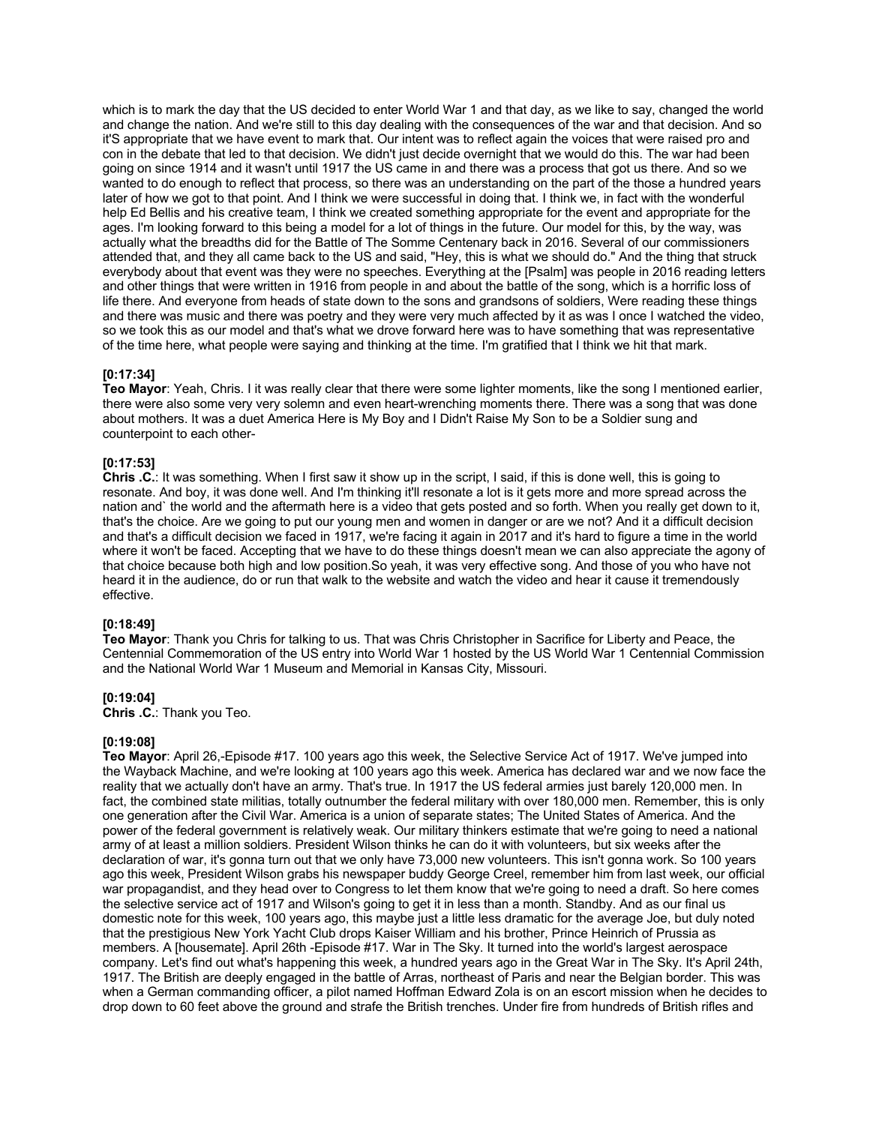which is to mark the day that the US decided to enter World War 1 and that day, as we like to say, changed the world and change the nation. And we're still to this day dealing with the consequences of the war and that decision. And so it'S appropriate that we have event to mark that. Our intent was to reflect again the voices that were raised pro and con in the debate that led to that decision. We didn't just decide overnight that we would do this. The war had been going on since 1914 and it wasn't until 1917 the US came in and there was a process that got us there. And so we wanted to do enough to reflect that process, so there was an understanding on the part of the those a hundred years later of how we got to that point. And I think we were successful in doing that. I think we, in fact with the wonderful help Ed Bellis and his creative team, I think we created something appropriate for the event and appropriate for the ages. I'm looking forward to this being a model for a lot of things in the future. Our model for this, by the way, was actually what the breadths did for the Battle of The Somme Centenary back in 2016. Several of our commissioners attended that, and they all came back to the US and said, "Hey, this is what we should do." And the thing that struck everybody about that event was they were no speeches. Everything at the [Psalm] was people in 2016 reading letters and other things that were written in 1916 from people in and about the battle of the song, which is a horrific loss of life there. And everyone from heads of state down to the sons and grandsons of soldiers, Were reading these things and there was music and there was poetry and they were very much affected by it as was I once I watched the video, so we took this as our model and that's what we drove forward here was to have something that was representative of the time here, what people were saying and thinking at the time. I'm gratified that I think we hit that mark.

### **[0:17:34]**

**Teo Mayor**: Yeah, Chris. I it was really clear that there were some lighter moments, like the song I mentioned earlier, there were also some very very solemn and even heart-wrenching moments there. There was a song that was done about mothers. It was a duet America Here is My Boy and I Didn't Raise My Son to be a Soldier sung and counterpoint to each other-

# **[0:17:53]**

**Chris .C.**: It was something. When I first saw it show up in the script, I said, if this is done well, this is going to resonate. And boy, it was done well. And I'm thinking it'll resonate a lot is it gets more and more spread across the nation and` the world and the aftermath here is a video that gets posted and so forth. When you really get down to it, that's the choice. Are we going to put our young men and women in danger or are we not? And it a difficult decision and that's a difficult decision we faced in 1917, we're facing it again in 2017 and it's hard to figure a time in the world where it won't be faced. Accepting that we have to do these things doesn't mean we can also appreciate the agony of that choice because both high and low position.So yeah, it was very effective song. And those of you who have not heard it in the audience, do or run that walk to the website and watch the video and hear it cause it tremendously effective.

#### **[0:18:49]**

**Teo Mayor**: Thank you Chris for talking to us. That was Chris Christopher in Sacrifice for Liberty and Peace, the Centennial Commemoration of the US entry into World War 1 hosted by the US World War 1 Centennial Commission and the National World War 1 Museum and Memorial in Kansas City, Missouri.

# **[0:19:04]**

**Chris .C.**: Thank you Teo.

# **[0:19:08]**

**Teo Mayor**: April 26,-Episode #17. 100 years ago this week, the Selective Service Act of 1917. We've jumped into the Wayback Machine, and we're looking at 100 years ago this week. America has declared war and we now face the reality that we actually don't have an army. That's true. In 1917 the US federal armies just barely 120,000 men. In fact, the combined state militias, totally outnumber the federal military with over 180,000 men. Remember, this is only one generation after the Civil War. America is a union of separate states; The United States of America. And the power of the federal government is relatively weak. Our military thinkers estimate that we're going to need a national army of at least a million soldiers. President Wilson thinks he can do it with volunteers, but six weeks after the declaration of war, it's gonna turn out that we only have 73,000 new volunteers. This isn't gonna work. So 100 years ago this week, President Wilson grabs his newspaper buddy George Creel, remember him from last week, our official war propagandist, and they head over to Congress to let them know that we're going to need a draft. So here comes the selective service act of 1917 and Wilson's going to get it in less than a month. Standby. And as our final us domestic note for this week, 100 years ago, this maybe just a little less dramatic for the average Joe, but duly noted that the prestigious New York Yacht Club drops Kaiser William and his brother, Prince Heinrich of Prussia as members. A [housemate]. April 26th -Episode #17. War in The Sky. It turned into the world's largest aerospace company. Let's find out what's happening this week, a hundred years ago in the Great War in The Sky. It's April 24th, 1917. The British are deeply engaged in the battle of Arras, northeast of Paris and near the Belgian border. This was when a German commanding officer, a pilot named Hoffman Edward Zola is on an escort mission when he decides to drop down to 60 feet above the ground and strafe the British trenches. Under fire from hundreds of British rifles and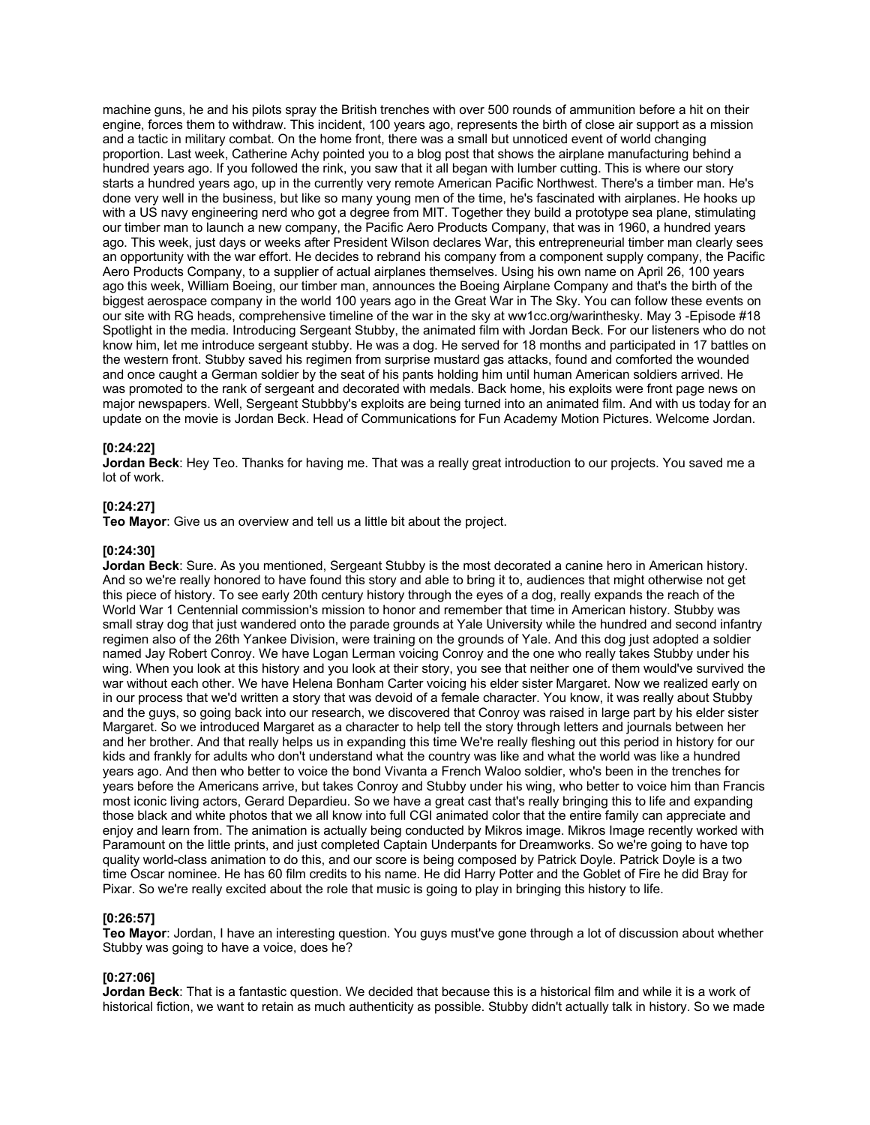machine guns, he and his pilots spray the British trenches with over 500 rounds of ammunition before a hit on their engine, forces them to withdraw. This incident, 100 years ago, represents the birth of close air support as a mission and a tactic in military combat. On the home front, there was a small but unnoticed event of world changing proportion. Last week, Catherine Achy pointed you to a blog post that shows the airplane manufacturing behind a hundred years ago. If you followed the rink, you saw that it all began with lumber cutting. This is where our story starts a hundred years ago, up in the currently very remote American Pacific Northwest. There's a timber man. He's done very well in the business, but like so many young men of the time, he's fascinated with airplanes. He hooks up with a US navy engineering nerd who got a degree from MIT. Together they build a prototype sea plane, stimulating our timber man to launch a new company, the Pacific Aero Products Company, that was in 1960, a hundred years ago. This week, just days or weeks after President Wilson declares War, this entrepreneurial timber man clearly sees an opportunity with the war effort. He decides to rebrand his company from a component supply company, the Pacific Aero Products Company, to a supplier of actual airplanes themselves. Using his own name on April 26, 100 years ago this week, William Boeing, our timber man, announces the Boeing Airplane Company and that's the birth of the biggest aerospace company in the world 100 years ago in the Great War in The Sky. You can follow these events on our site with RG heads, comprehensive timeline of the war in the sky at ww1cc.org/warinthesky. May 3 -Episode #18 Spotlight in the media. Introducing Sergeant Stubby, the animated film with Jordan Beck. For our listeners who do not know him, let me introduce sergeant stubby. He was a dog. He served for 18 months and participated in 17 battles on the western front. Stubby saved his regimen from surprise mustard gas attacks, found and comforted the wounded and once caught a German soldier by the seat of his pants holding him until human American soldiers arrived. He was promoted to the rank of sergeant and decorated with medals. Back home, his exploits were front page news on major newspapers. Well, Sergeant Stubbby's exploits are being turned into an animated film. And with us today for an update on the movie is Jordan Beck. Head of Communications for Fun Academy Motion Pictures. Welcome Jordan.

# **[0:24:22]**

**Jordan Beck**: Hey Teo. Thanks for having me. That was a really great introduction to our projects. You saved me a lot of work.

# **[0:24:27]**

**Teo Mayor**: Give us an overview and tell us a little bit about the project.

# **[0:24:30]**

**Jordan Beck**: Sure. As you mentioned, Sergeant Stubby is the most decorated a canine hero in American history. And so we're really honored to have found this story and able to bring it to, audiences that might otherwise not get this piece of history. To see early 20th century history through the eyes of a dog, really expands the reach of the World War 1 Centennial commission's mission to honor and remember that time in American history. Stubby was small stray dog that just wandered onto the parade grounds at Yale University while the hundred and second infantry regimen also of the 26th Yankee Division, were training on the grounds of Yale. And this dog just adopted a soldier named Jay Robert Conroy. We have Logan Lerman voicing Conroy and the one who really takes Stubby under his wing. When you look at this history and you look at their story, you see that neither one of them would've survived the war without each other. We have Helena Bonham Carter voicing his elder sister Margaret. Now we realized early on in our process that we'd written a story that was devoid of a female character. You know, it was really about Stubby and the guys, so going back into our research, we discovered that Conroy was raised in large part by his elder sister Margaret. So we introduced Margaret as a character to help tell the story through letters and journals between her and her brother. And that really helps us in expanding this time We're really fleshing out this period in history for our kids and frankly for adults who don't understand what the country was like and what the world was like a hundred years ago. And then who better to voice the bond Vivanta a French Waloo soldier, who's been in the trenches for years before the Americans arrive, but takes Conroy and Stubby under his wing, who better to voice him than Francis most iconic living actors, Gerard Depardieu. So we have a great cast that's really bringing this to life and expanding those black and white photos that we all know into full CGI animated color that the entire family can appreciate and enjoy and learn from. The animation is actually being conducted by Mikros image. Mikros Image recently worked with Paramount on the little prints, and just completed Captain Underpants for Dreamworks. So we're going to have top quality world-class animation to do this, and our score is being composed by Patrick Doyle. Patrick Doyle is a two time Oscar nominee. He has 60 film credits to his name. He did Harry Potter and the Goblet of Fire he did Bray for Pixar. So we're really excited about the role that music is going to play in bringing this history to life.

#### **[0:26:57]**

**Teo Mayor**: Jordan, I have an interesting question. You guys must've gone through a lot of discussion about whether Stubby was going to have a voice, does he?

#### **[0:27:06]**

**Jordan Beck**: That is a fantastic question. We decided that because this is a historical film and while it is a work of historical fiction, we want to retain as much authenticity as possible. Stubby didn't actually talk in history. So we made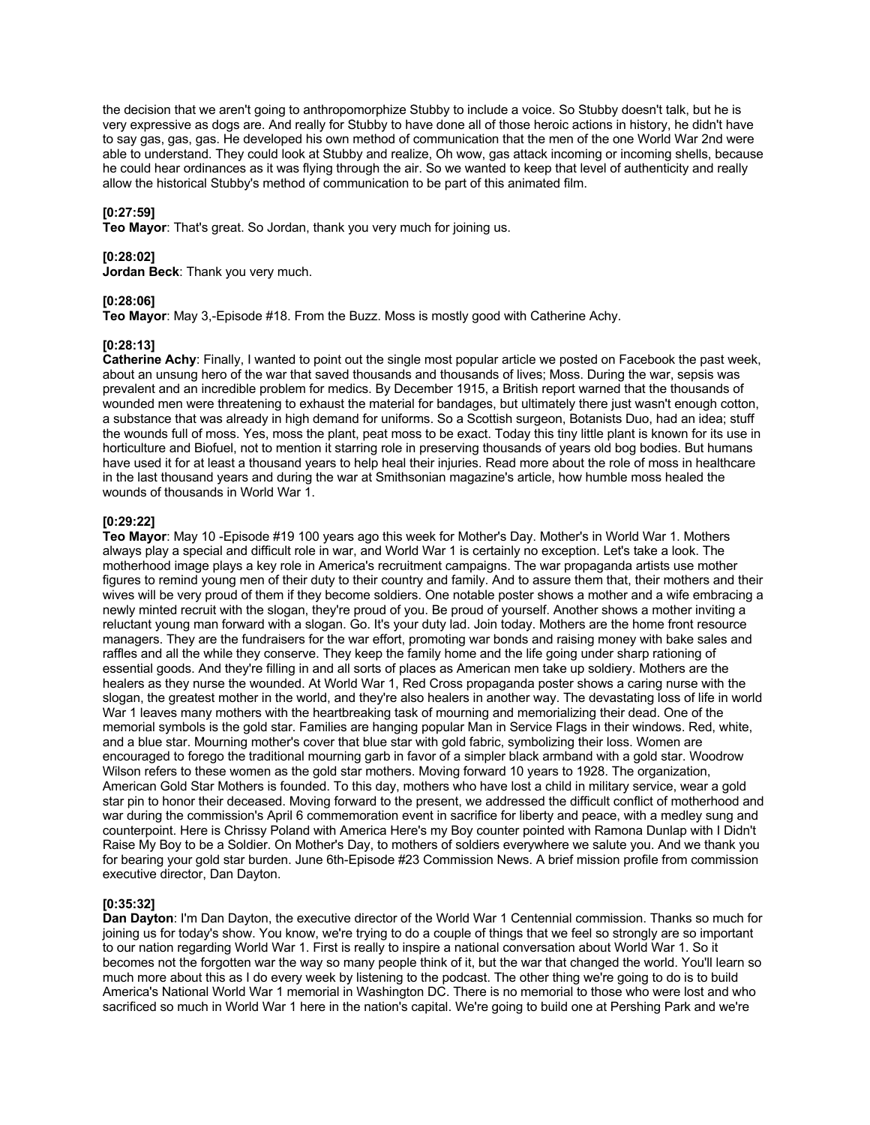the decision that we aren't going to anthropomorphize Stubby to include a voice. So Stubby doesn't talk, but he is very expressive as dogs are. And really for Stubby to have done all of those heroic actions in history, he didn't have to say gas, gas, gas. He developed his own method of communication that the men of the one World War 2nd were able to understand. They could look at Stubby and realize, Oh wow, gas attack incoming or incoming shells, because he could hear ordinances as it was flying through the air. So we wanted to keep that level of authenticity and really allow the historical Stubby's method of communication to be part of this animated film.

# **[0:27:59]**

**Teo Mayor**: That's great. So Jordan, thank you very much for joining us.

# **[0:28:02]**

**Jordan Beck**: Thank you very much.

# **[0:28:06]**

**Teo Mayor**: May 3,-Episode #18. From the Buzz. Moss is mostly good with Catherine Achy.

# **[0:28:13]**

**Catherine Achy**: Finally, I wanted to point out the single most popular article we posted on Facebook the past week, about an unsung hero of the war that saved thousands and thousands of lives; Moss. During the war, sepsis was prevalent and an incredible problem for medics. By December 1915, a British report warned that the thousands of wounded men were threatening to exhaust the material for bandages, but ultimately there just wasn't enough cotton, a substance that was already in high demand for uniforms. So a Scottish surgeon, Botanists Duo, had an idea; stuff the wounds full of moss. Yes, moss the plant, peat moss to be exact. Today this tiny little plant is known for its use in horticulture and Biofuel, not to mention it starring role in preserving thousands of years old bog bodies. But humans have used it for at least a thousand years to help heal their injuries. Read more about the role of moss in healthcare in the last thousand years and during the war at Smithsonian magazine's article, how humble moss healed the wounds of thousands in World War 1.

# **[0:29:22]**

**Teo Mayor**: May 10 -Episode #19 100 years ago this week for Mother's Day. Mother's in World War 1. Mothers always play a special and difficult role in war, and World War 1 is certainly no exception. Let's take a look. The motherhood image plays a key role in America's recruitment campaigns. The war propaganda artists use mother figures to remind young men of their duty to their country and family. And to assure them that, their mothers and their wives will be very proud of them if they become soldiers. One notable poster shows a mother and a wife embracing a newly minted recruit with the slogan, they're proud of you. Be proud of yourself. Another shows a mother inviting a reluctant young man forward with a slogan. Go. It's your duty lad. Join today. Mothers are the home front resource managers. They are the fundraisers for the war effort, promoting war bonds and raising money with bake sales and raffles and all the while they conserve. They keep the family home and the life going under sharp rationing of essential goods. And they're filling in and all sorts of places as American men take up soldiery. Mothers are the healers as they nurse the wounded. At World War 1, Red Cross propaganda poster shows a caring nurse with the slogan, the greatest mother in the world, and they're also healers in another way. The devastating loss of life in world War 1 leaves many mothers with the heartbreaking task of mourning and memorializing their dead. One of the memorial symbols is the gold star. Families are hanging popular Man in Service Flags in their windows. Red, white, and a blue star. Mourning mother's cover that blue star with gold fabric, symbolizing their loss. Women are encouraged to forego the traditional mourning garb in favor of a simpler black armband with a gold star. Woodrow Wilson refers to these women as the gold star mothers. Moving forward 10 years to 1928. The organization, American Gold Star Mothers is founded. To this day, mothers who have lost a child in military service, wear a gold star pin to honor their deceased. Moving forward to the present, we addressed the difficult conflict of motherhood and war during the commission's April 6 commemoration event in sacrifice for liberty and peace, with a medley sung and counterpoint. Here is Chrissy Poland with America Here's my Boy counter pointed with Ramona Dunlap with I Didn't Raise My Boy to be a Soldier. On Mother's Day, to mothers of soldiers everywhere we salute you. And we thank you for bearing your gold star burden. June 6th-Episode #23 Commission News. A brief mission profile from commission executive director, Dan Dayton.

# **[0:35:32]**

**Dan Dayton**: I'm Dan Dayton, the executive director of the World War 1 Centennial commission. Thanks so much for joining us for today's show. You know, we're trying to do a couple of things that we feel so strongly are so important to our nation regarding World War 1. First is really to inspire a national conversation about World War 1. So it becomes not the forgotten war the way so many people think of it, but the war that changed the world. You'll learn so much more about this as I do every week by listening to the podcast. The other thing we're going to do is to build America's National World War 1 memorial in Washington DC. There is no memorial to those who were lost and who sacrificed so much in World War 1 here in the nation's capital. We're going to build one at Pershing Park and we're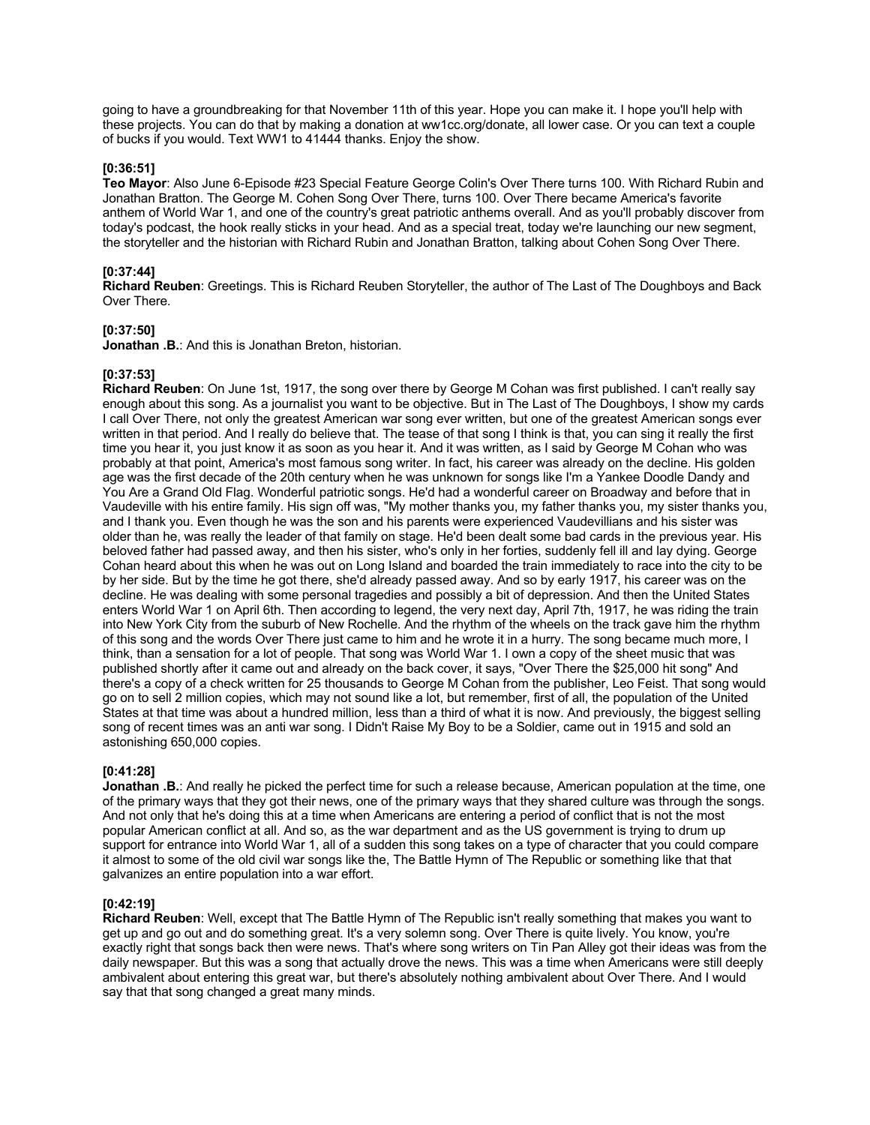going to have a groundbreaking for that November 11th of this year. Hope you can make it. I hope you'll help with these projects. You can do that by making a donation at ww1cc.org/donate, all lower case. Or you can text a couple of bucks if you would. Text WW1 to 41444 thanks. Enjoy the show.

### **[0:36:51]**

**Teo Mayor**: Also June 6-Episode #23 Special Feature George Colin's Over There turns 100. With Richard Rubin and Jonathan Bratton. The George M. Cohen Song Over There, turns 100. Over There became America's favorite anthem of World War 1, and one of the country's great patriotic anthems overall. And as you'll probably discover from today's podcast, the hook really sticks in your head. And as a special treat, today we're launching our new segment, the storyteller and the historian with Richard Rubin and Jonathan Bratton, talking about Cohen Song Over There.

# **[0:37:44]**

**Richard Reuben**: Greetings. This is Richard Reuben Storyteller, the author of The Last of The Doughboys and Back Over There.

# **[0:37:50]**

**Jonathan .B.**: And this is Jonathan Breton, historian.

### **[0:37:53]**

**Richard Reuben**: On June 1st, 1917, the song over there by George M Cohan was first published. I can't really say enough about this song. As a journalist you want to be objective. But in The Last of The Doughboys, I show my cards I call Over There, not only the greatest American war song ever written, but one of the greatest American songs ever written in that period. And I really do believe that. The tease of that song I think is that, you can sing it really the first time you hear it, you just know it as soon as you hear it. And it was written, as I said by George M Cohan who was probably at that point, America's most famous song writer. In fact, his career was already on the decline. His golden age was the first decade of the 20th century when he was unknown for songs like I'm a Yankee Doodle Dandy and You Are a Grand Old Flag. Wonderful patriotic songs. He'd had a wonderful career on Broadway and before that in Vaudeville with his entire family. His sign off was, "My mother thanks you, my father thanks you, my sister thanks you, and I thank you. Even though he was the son and his parents were experienced Vaudevillians and his sister was older than he, was really the leader of that family on stage. He'd been dealt some bad cards in the previous year. His beloved father had passed away, and then his sister, who's only in her forties, suddenly fell ill and lay dying. George Cohan heard about this when he was out on Long Island and boarded the train immediately to race into the city to be by her side. But by the time he got there, she'd already passed away. And so by early 1917, his career was on the decline. He was dealing with some personal tragedies and possibly a bit of depression. And then the United States enters World War 1 on April 6th. Then according to legend, the very next day, April 7th, 1917, he was riding the train into New York City from the suburb of New Rochelle. And the rhythm of the wheels on the track gave him the rhythm of this song and the words Over There just came to him and he wrote it in a hurry. The song became much more, I think, than a sensation for a lot of people. That song was World War 1. I own a copy of the sheet music that was published shortly after it came out and already on the back cover, it says, "Over There the \$25,000 hit song" And there's a copy of a check written for 25 thousands to George M Cohan from the publisher, Leo Feist. That song would go on to sell 2 million copies, which may not sound like a lot, but remember, first of all, the population of the United States at that time was about a hundred million, less than a third of what it is now. And previously, the biggest selling song of recent times was an anti war song. I Didn't Raise My Boy to be a Soldier, came out in 1915 and sold an astonishing 650,000 copies.

#### **[0:41:28]**

**Jonathan .B.:** And really he picked the perfect time for such a release because, American population at the time, one of the primary ways that they got their news, one of the primary ways that they shared culture was through the songs. And not only that he's doing this at a time when Americans are entering a period of conflict that is not the most popular American conflict at all. And so, as the war department and as the US government is trying to drum up support for entrance into World War 1, all of a sudden this song takes on a type of character that you could compare it almost to some of the old civil war songs like the, The Battle Hymn of The Republic or something like that that galvanizes an entire population into a war effort.

#### **[0:42:19]**

**Richard Reuben**: Well, except that The Battle Hymn of The Republic isn't really something that makes you want to get up and go out and do something great. It's a very solemn song. Over There is quite lively. You know, you're exactly right that songs back then were news. That's where song writers on Tin Pan Alley got their ideas was from the daily newspaper. But this was a song that actually drove the news. This was a time when Americans were still deeply ambivalent about entering this great war, but there's absolutely nothing ambivalent about Over There. And I would say that that song changed a great many minds.